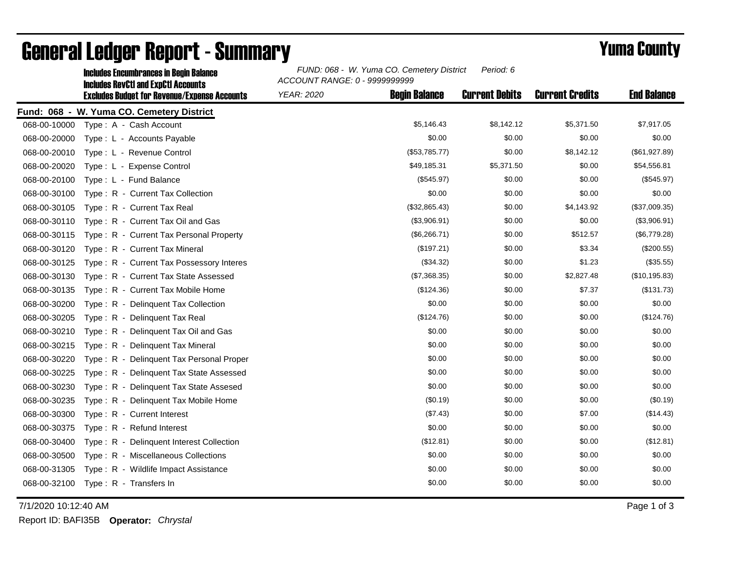|                                            | <b>Includes Encumbrances in Begin Balance</b><br><b>Includes RevCtI and ExpCtI Accounts</b><br><b>Excludes Budget for Revenue/Expense Accounts</b> |  | Period: 6<br>FUND: 068 - W. Yuma CO. Cemetery District<br>ACCOUNT RANGE: 0 - 9999999999 |                       |                        |                    |  |
|--------------------------------------------|----------------------------------------------------------------------------------------------------------------------------------------------------|--|-----------------------------------------------------------------------------------------|-----------------------|------------------------|--------------------|--|
|                                            |                                                                                                                                                    |  | <b>Begin Balance</b>                                                                    | <b>Current Debits</b> | <b>Current Credits</b> | <b>End Balance</b> |  |
| Fund: 068 - W. Yuma CO. Cemetery District  |                                                                                                                                                    |  |                                                                                         |                       |                        |                    |  |
| 068-00-10000<br>Type: A - Cash Account     |                                                                                                                                                    |  | \$5,146.43                                                                              | \$8,142.12            | \$5,371.50             | \$7,917.05         |  |
| 068-00-20000                               | Type: L - Accounts Payable                                                                                                                         |  | \$0.00                                                                                  | \$0.00                | \$0.00                 | \$0.00             |  |
| Type: L - Revenue Control<br>068-00-20010  |                                                                                                                                                    |  | (\$53,785.77)                                                                           | \$0.00                | \$8,142.12             | (\$61,927.89)      |  |
| 068-00-20020<br>Type: L - Expense Control  |                                                                                                                                                    |  | \$49,185.31                                                                             | \$5,371.50            | \$0.00                 | \$54,556.81        |  |
| 068-00-20100<br>Type: L - Fund Balance     |                                                                                                                                                    |  | (\$545.97)                                                                              | \$0.00                | \$0.00                 | (\$545.97)         |  |
| 068-00-30100                               | Type: R - Current Tax Collection                                                                                                                   |  | \$0.00                                                                                  | \$0.00                | \$0.00                 | \$0.00             |  |
| 068-00-30105                               | Type: R - Current Tax Real                                                                                                                         |  | (\$32,865.43)                                                                           | \$0.00                | \$4,143.92             | (\$37,009.35)      |  |
| 068-00-30110                               | Type: R - Current Tax Oil and Gas                                                                                                                  |  | (\$3,906.91)                                                                            | \$0.00                | \$0.00                 | (\$3,906.91)       |  |
| 068-00-30115                               | Type: R - Current Tax Personal Property                                                                                                            |  | (\$6,266.71)                                                                            | \$0.00                | \$512.57               | (\$6,779.28)       |  |
| 068-00-30120                               | Type: R - Current Tax Mineral                                                                                                                      |  | (\$197.21)                                                                              | \$0.00                | \$3.34                 | $(\$200.55)$       |  |
| 068-00-30125                               | Type: R - Current Tax Possessory Interes                                                                                                           |  | (\$34.32)                                                                               | \$0.00                | \$1.23                 | (\$35.55)          |  |
| 068-00-30130                               | Type: R - Current Tax State Assessed                                                                                                               |  | (\$7,368.35)                                                                            | \$0.00                | \$2,827.48             | (\$10, 195.83)     |  |
| 068-00-30135                               | Type: R - Current Tax Mobile Home                                                                                                                  |  | (\$124.36)                                                                              | \$0.00                | \$7.37                 | (\$131.73)         |  |
| 068-00-30200                               | Type: R - Delinquent Tax Collection                                                                                                                |  | \$0.00                                                                                  | \$0.00                | \$0.00                 | \$0.00             |  |
| 068-00-30205                               | Type: R - Delinquent Tax Real                                                                                                                      |  | (\$124.76)                                                                              | \$0.00                | \$0.00                 | (\$124.76)         |  |
| 068-00-30210                               | Type: R - Delinquent Tax Oil and Gas                                                                                                               |  | \$0.00                                                                                  | \$0.00                | \$0.00                 | \$0.00             |  |
| 068-00-30215                               | Type: R - Delinquent Tax Mineral                                                                                                                   |  | \$0.00                                                                                  | \$0.00                | \$0.00                 | \$0.00             |  |
| 068-00-30220                               | Type: R - Delinguent Tax Personal Proper                                                                                                           |  | \$0.00                                                                                  | \$0.00                | \$0.00                 | \$0.00             |  |
| 068-00-30225                               | Type: R - Delinquent Tax State Assessed                                                                                                            |  | \$0.00                                                                                  | \$0.00                | \$0.00                 | \$0.00             |  |
| 068-00-30230                               | Type: R - Delinguent Tax State Assesed                                                                                                             |  | \$0.00                                                                                  | \$0.00                | \$0.00                 | \$0.00             |  |
| 068-00-30235                               | Type: R - Delinquent Tax Mobile Home                                                                                                               |  | (\$0.19)                                                                                | \$0.00                | \$0.00                 | (\$0.19)           |  |
| 068-00-30300<br>Type: R - Current Interest |                                                                                                                                                    |  | (\$7.43)                                                                                | \$0.00                | \$7.00                 | (\$14.43)          |  |
| 068-00-30375<br>Type: R - Refund Interest  |                                                                                                                                                    |  | \$0.00                                                                                  | \$0.00                | \$0.00                 | \$0.00             |  |
| 068-00-30400                               | Type: R - Delinquent Interest Collection                                                                                                           |  | (\$12.81)                                                                               | \$0.00                | \$0.00                 | (\$12.81)          |  |
| 068-00-30500                               | Type: R - Miscellaneous Collections                                                                                                                |  | \$0.00                                                                                  | \$0.00                | \$0.00                 | \$0.00             |  |
| 068-00-31305                               | Type: R - Wildlife Impact Assistance                                                                                                               |  | \$0.00                                                                                  | \$0.00                | \$0.00                 | \$0.00             |  |
| 068-00-32100<br>Type: R - Transfers In     |                                                                                                                                                    |  | \$0.00                                                                                  | \$0.00                | \$0.00                 | \$0.00             |  |

## General Ledger Report - Summary **Example 2018** Yuma County

7/1/2020 10:12:40 AM Page 1 of 3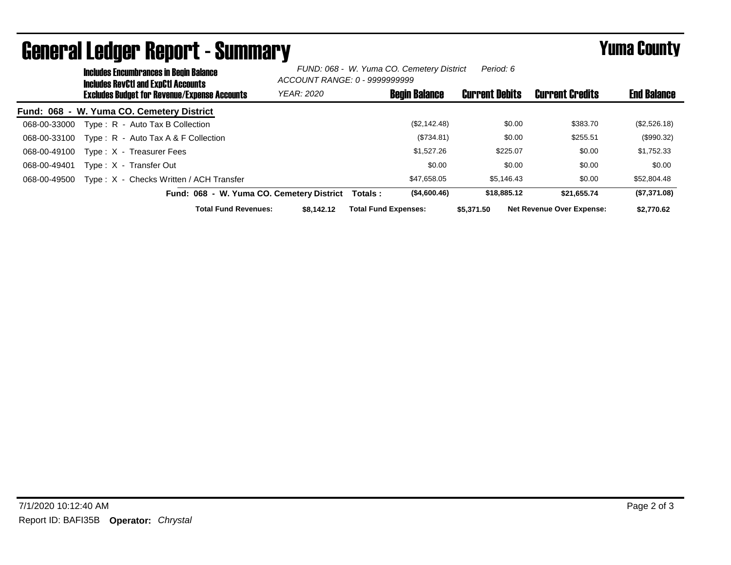|              | <b>Includes Encumbrances in Begin Balance</b><br><b>Includes RevCtI and ExpCtI Accounts</b> |                                                     | FUND: 068 - W. Yuma CO. Cemetery District<br>Period: 6<br>ACCOUNT RANGE: 0 - 9999999999 |                             |                      |                       |                                  |                    |
|--------------|---------------------------------------------------------------------------------------------|-----------------------------------------------------|-----------------------------------------------------------------------------------------|-----------------------------|----------------------|-----------------------|----------------------------------|--------------------|
|              |                                                                                             | <b>Excludes Budget for Revenue/Expense Accounts</b> | <b>YEAR: 2020</b>                                                                       |                             | <b>Begin Balance</b> | <b>Current Debits</b> | <b>Current Credits</b>           | <b>End Balance</b> |
|              |                                                                                             | Fund: 068 - W. Yuma CO. Cemetery District           |                                                                                         |                             |                      |                       |                                  |                    |
| 068-00-33000 |                                                                                             | Type: R - Auto Tax B Collection                     |                                                                                         |                             | (\$2,142.48)         | \$0.00                | \$383.70                         | (\$2,526.18)       |
| 068-00-33100 |                                                                                             | Type: $R -$ Auto Tax A & F Collection               |                                                                                         |                             | (\$734.81)           | \$0.00                | \$255.51                         | $(\$990.32)$       |
| 068-00-49100 |                                                                                             | Type: X - Treasurer Fees                            |                                                                                         |                             | \$1,527.26           | \$225.07              | \$0.00                           | \$1,752.33         |
| 068-00-49401 |                                                                                             | Type: X - Transfer Out                              |                                                                                         |                             | \$0.00               | \$0.00                | \$0.00                           | \$0.00             |
| 068-00-49500 |                                                                                             | Type: X - Checks Written / ACH Transfer             |                                                                                         |                             | \$47.658.05          | \$5.146.43            | \$0.00                           | \$52,804.48        |
|              |                                                                                             | Fund: 068 - W. Yuma CO. Cemetery District           |                                                                                         | Totals :                    | (\$4,600.46)         | \$18,885.12           | \$21.655.74                      | (\$7,371.08)       |
|              |                                                                                             | <b>Total Fund Revenues:</b>                         | \$8,142.12                                                                              | <b>Total Fund Expenses:</b> |                      | \$5,371.50            | <b>Net Revenue Over Expense:</b> | \$2,770.62         |

## General Ledger Report - Summary **Example 2018** Yuma County